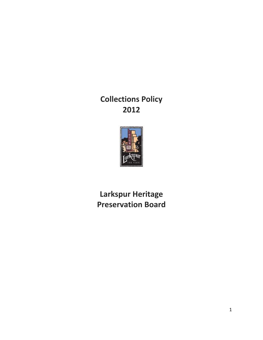**Collections Policy 2012**



**Larkspur Heritage Preservation Board**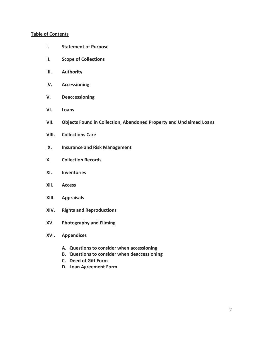### **Table of Contents**

- **I. Statement of Purpose**
- **II. Scope of Collections**
- **III. Authority**
- **IV. Accessioning**
- **V. Deaccessioning**
- **VI. Loans**
- **VII. Objects Found in Collection, Abandoned Property and Unclaimed Loans**
- **VIII. Collections Care**
- **IX. Insurance and Risk Management**
- **X. Collection Records**
- **XI. Inventories**
- **XII. Access**
- **XIII. Appraisals**
- **XIV. Rights and Reproductions**
- **XV. Photography and Filming**
- **XVI. Appendices**
	- **A. Questions to consider when accessioning**
	- **B. Questions to consider when deaccessioning**
	- **C. Deed of Gift Form**
	- **D. Loan Agreement Form**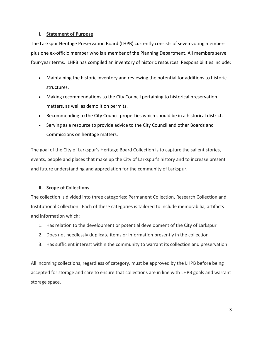## **I. Statement of Purpose**

The Larkspur Heritage Preservation Board (LHPB) currently consists of seven voting members plus one ex-officio member who is a member of the Planning Department. All members serve four-year terms. LHPB has compiled an inventory of historic resources. Responsibilities include:

- Maintaining the historic inventory and reviewing the potential for additions to historic structures.
- Making recommendations to the City Council pertaining to historical preservation matters, as well as demolition permits.
- Recommending to the City Council properties which should be in a historical district.
- Serving as a resource to provide advice to the City Council and other Boards and Commissions on heritage matters.

The goal of the City of Larkspur's Heritage Board Collection is to capture the salient stories, events, people and places that make up the City of Larkspur's history and to increase present and future understanding and appreciation for the community of Larkspur.

## **II. Scope of Collections**

The collection is divided into three categories: Permanent Collection, Research Collection and Institutional Collection. Each of these categories is tailored to include memorabilia, artifacts and information which:

- 1. Has relation to the development or potential development of the City of Larkspur
- 2. Does not needlessly duplicate items or information presently in the collection
- 3. Has sufficient interest within the community to warrant its collection and preservation

All incoming collections, regardless of category, must be approved by the LHPB before being accepted for storage and care to ensure that collections are in line with LHPB goals and warrant storage space.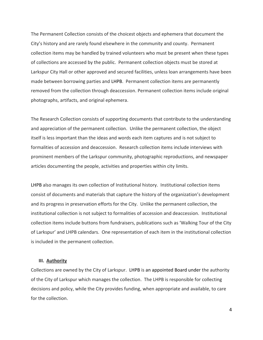The Permanent Collection consists of the choicest objects and ephemera that document the City's history and are rarely found elsewhere in the community and county. Permanent collection items may be handled by trained volunteers who must be present when these types of collections are accessed by the public. Permanent collection objects must be stored at Larkspur City Hall or other approved and secured facilities, unless loan arrangements have been made between borrowing parties and LHPB. Permanent collection items are permanently removed from the collection through deaccession. Permanent collection items include original photographs, artifacts, and original ephemera.

The Research Collection consists of supporting documents that contribute to the understanding and appreciation of the permanent collection. Unlike the permanent collection, the object itself is less important than the ideas and words each item captures and is not subject to formalities of accession and deaccession. Research collection items include interviews with prominent members of the Larkspur community, photographic reproductions, and newspaper articles documenting the people, activities and properties within city limits.

LHPB also manages its own collection of Institutional history. Institutional collection items consist of documents and materials that capture the history of the organization's development and its progress in preservation efforts for the City. Unlike the permanent collection, the institutional collection is not subject to formalities of accession and deaccession. Institutional collection items include buttons from fundraisers, publications such as 'Walking Tour of the City of Larkspur' and LHPB calendars. One representation of each item in the institutional collection is included in the permanent collection.

#### **III. Authority**

Collections are owned by the City of Larkspur. LHPB is an appointed Board under the authority of the City of Larkspur which manages the collection. The LHPB is responsible for collecting decisions and policy, while the City provides funding, when appropriate and available, to care for the collection.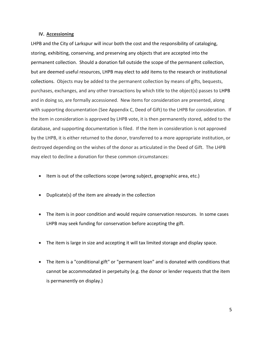#### **IV. Accessioning**

LHPB and the City of Larkspur will incur both the cost and the responsibility of cataloging, storing, exhibiting, conserving, and preserving any objects that are accepted into the permanent collection. Should a donation fall outside the scope of the permanent collection, but are deemed useful resources, LHPB may elect to add items to the research or institutional collections. Objects may be added to the permanent collection by means of gifts, bequests, purchases, exchanges, and any other transactions by which title to the object(s) passes to LHPB and in doing so, are formally accessioned. New items for consideration are presented, along with supporting documentation (See Appendix C, Deed of Gift) to the LHPB for consideration. If the item in consideration is approved by LHPB vote, it is then permanently stored, added to the database, and supporting documentation is filed. If the item in consideration is not approved by the LHPB, it is either returned to the donor, transferred to a more appropriate institution, or destroyed depending on the wishes of the donor as articulated in the Deed of Gift. The LHPB may elect to decline a donation for these common circumstances:

- Item is out of the collections scope (wrong subject, geographic area, etc.)
- Duplicate(s) of the item are already in the collection
- The item is in poor condition and would require conservation resources. In some cases LHPB may seek funding for conservation before accepting the gift.
- The item is large in size and accepting it will tax limited storage and display space.
- The item is a "conditional gift" or "permanent loan" and is donated with conditions that cannot be accommodated in perpetuity (e.g. the donor or lender requests that the item is permanently on display.)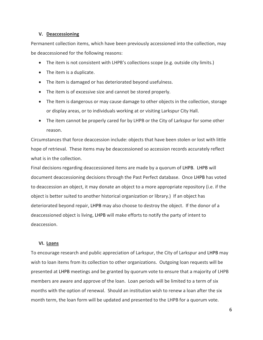#### **V. Deaccessioning**

Permanent collection items, which have been previously accessioned into the collection, may be deaccessioned for the following reasons:

- The item is not consistent with LHPB's collections scope (e.g. outside city limits.)
- The item is a duplicate.
- The item is damaged or has deteriorated beyond usefulness.
- The item is of excessive size and cannot be stored properly.
- The Item is dangerous or may cause damage to other objects in the collection, storage or display areas, or to individuals working at or visiting Larkspur City Hall.
- The item cannot be properly cared for by LHPB or the City of Larkspur for some other reason.

Circumstances that force deaccession include: objects that have been stolen or lost with little hope of retrieval. These items may be deaccessioned so accession records accurately reflect what is in the collection.

Final decisions regarding deaccessioned items are made by a quorum of LHPB. LHPB will document deaccessioning decisions through the Past Perfect database. Once LHPB has voted to deaccession an object, it may donate an object to a more appropriate repository (i.e. if the object is better suited to another historical organization or library.) If an object has deteriorated beyond repair, LHPB may also choose to destroy the object. If the donor of a deaccessioned object is living, LHPB will make efforts to notify the party of intent to deaccession.

### **VI. Loans**

To encourage research and public appreciation of Larkspur, the City of Larkspur and LHPB may wish to loan items from its collection to other organizations. Outgoing loan requests will be presented at LHPB meetings and be granted by quorum vote to ensure that a majority of LHPB members are aware and approve of the loan. Loan periods will be limited to a term of six months with the option of renewal. Should an institution wish to renew a loan after the six month term, the loan form will be updated and presented to the LHPB for a quorum vote.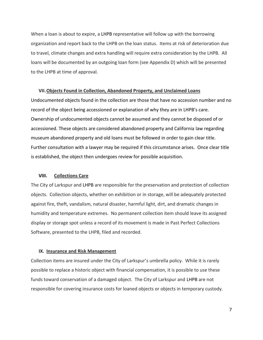When a loan is about to expire, a LHPB representative will follow up with the borrowing organization and report back to the LHPB on the loan status. Items at risk of deterioration due to travel, climate changes and extra handling will require extra consideration by the LHPB. All loans will be documented by an outgoing loan form (see Appendix D) which will be presented to the LHPB at time of approval.

#### **VII.Objects Found in Collection, Abandoned Property, and Unclaimed Loans**

Undocumented objects found in the collection are those that have no accession number and no record of the object being accessioned or explanation of why they are in LHPB's care. Ownership of undocumented objects cannot be assumed and they cannot be disposed of or accessioned. These objects are considered abandoned property and California law regarding museum abandoned property and old loans must be followed in order to gain clear title. Further consultation with a lawyer may be required if this circumstance arises. Once clear title is established, the object then undergoes review for possible acquisition.

#### **VIII. Collections Care**

The City of Larkspur and LHPB are responsible for the preservation and protection of collection objects. Collection objects, whether on exhibition or in storage, will be adequately protected against fire, theft, vandalism, natural disaster, harmful light, dirt, and dramatic changes in humidity and temperature extremes. No permanent collection item should leave its assigned display or storage spot unless a record of its movement is made in Past Perfect Collections Software, presented to the LHPB, filed and recorded.

#### **IX. Insurance and Risk Management**

Collection items are insured under the City of Larkspur's umbrella policy. While it is rarely possible to replace a historic object with financial compensation, it is possible to use these funds toward conservation of a damaged object. The City of Larkspur and LHPB are not responsible for covering insurance costs for loaned objects or objects in temporary custody.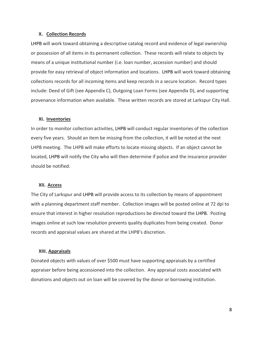#### **X. Collection Records**

LHPB will work toward obtaining a descriptive catalog record and evidence of legal ownership or possession of all items in its permanent collection. These records will relate to objects by means of a unique institutional number (i.e. loan number, accession number) and should provide for easy retrieval of object information and locations. LHPB will work toward obtaining collections records for all incoming items and keep records in a secure location. Record types include: Deed of Gift (see Appendix C), Outgoing Loan Forms (see Appendix D), and supporting provenance information when available. These written records are stored at Larkspur City Hall.

#### **XI. Inventories**

In order to monitor collection activities, LHPB will conduct regular inventories of the collection every five years. Should an item be missing from the collection, it will be noted at the next LHPB meeting. The LHPB will make efforts to locate missing objects. If an object cannot be located, LHPB will notify the City who will then determine if police and the insurance provider should be notified.

#### **XII. Access**

The City of Larkspur and LHPB will provide access to its collection by means of appointment with a planning department staff member. Collection images will be posted online at 72 dpi to ensure that interest in higher resolution reproductions be directed toward the LHPB. Posting images online at such low resolution prevents quality duplicates from being created. Donor records and appraisal values are shared at the LHPB's discretion.

#### **XIII. Appraisals**

Donated objects with values of over \$500 must have supporting appraisals by a certified appraiser before being accessioned into the collection. Any appraisal costs associated with donations and objects out on loan will be covered by the donor or borrowing institution.

8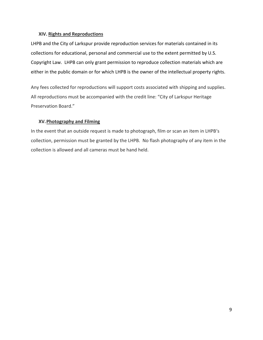## **XIV. Rights and Reproductions**

LHPB and the City of Larkspur provide reproduction services for materials contained in its collections for educational, personal and commercial use to the extent permitted by U.S. Copyright Law. LHPB can only grant permission to reproduce collection materials which are either in the public domain or for which LHPB is the owner of the intellectual property rights.

Any fees collected for reproductions will support costs associated with shipping and supplies. All reproductions must be accompanied with the credit line: "City of Larkspur Heritage Preservation Board."

## **XV.Photography and Filming**

In the event that an outside request is made to photograph, film or scan an item in LHPB's collection, permission must be granted by the LHPB. No flash photography of any item in the collection is allowed and all cameras must be hand held.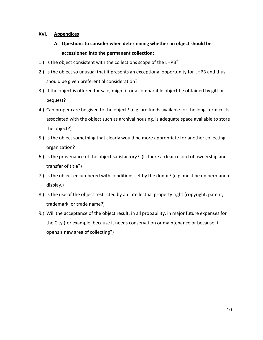## **XVI. Appendices**

- **A. Questions to consider when determining whether an object should be accessioned into the permanent collection:**
- 1.) Is the object consistent with the collections scope of the LHPB?
- 2.) Is the object so unusual that it presents an exceptional opportunity for LHPB and thus should be given preferential consideration?
- 3.) If the object is offered for sale, might it or a comparable object be obtained by gift or bequest?
- 4.) Can proper care be given to the object? (e.g. are funds available for the long-term costs associated with the object such as archival housing. Is adequate space available to store the object?)
- 5.) Is the object something that clearly would be more appropriate for another collecting organization?
- 6.) Is the provenance of the object satisfactory? (Is there a clear record of ownership and transfer of title?)
- 7.) Is the object encumbered with conditions set by the donor? (e.g. must be on permanent display.)
- 8.) Is the use of the object restricted by an intellectual property right (copyright, patent, trademark, or trade name?)
- 9.) Will the acceptance of the object result, in all probability, in major future expenses for the City (for example, because it needs conservation or maintenance or because it opens a new area of collecting?)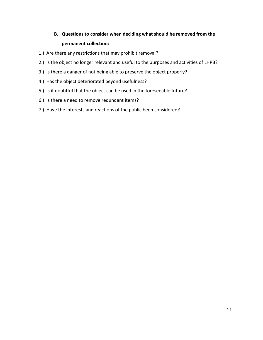## **B. Questions to consider when deciding what should be removed from the permanent collection:**

- 1.) Are there any restrictions that may prohibit removal?
- 2.) Is the object no longer relevant and useful to the purposes and activities of LHPB?
- 3.) Is there a danger of not being able to preserve the object properly?
- 4.) Has the object deteriorated beyond usefulness?
- 5.) Is it doubtful that the object can be used in the foreseeable future?
- 6.) Is there a need to remove redundant items?
- 7.) Have the interests and reactions of the public been considered?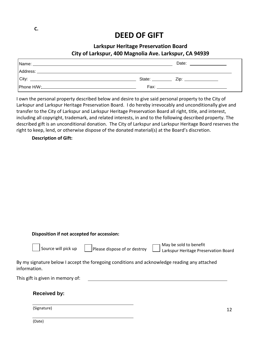# **DEED OF GIFT**

## **Larkspur Heritage Preservation Board City of Larkspur, 400 Magnolia Ave. Larkspur, CA 94939**

|       |                  | Date:<br>the process of the control of the control of                                                                 |
|-------|------------------|-----------------------------------------------------------------------------------------------------------------------|
|       |                  |                                                                                                                       |
| City: | State: _________ |                                                                                                                       |
|       | Fax:             | <u> 1980 - Jan Sterling and Sterling and Sterling and Sterling and Sterling and Sterling and Sterling and Sterlin</u> |

I own the personal property described below and desire to give said personal property to the City of Larkspur and Larkspur Heritage Preservation Board. I do hereby irrevocably and unconditionally give and transfer to the City of Larkspur and Larkspur Heritage Preservation Board all right, title, and interest, including all copyright, trademark, and related interests, in and to the following described property. The described gift is an unconditional donation. The City of Larkspur and Larkspur Heritage Board reserves the right to keep, lend, or otherwise dispose of the donated material(s) at the Board's discretion.

**Description of Gift:**

| Disposition if not accepted for accession:                                                                            |    |
|-----------------------------------------------------------------------------------------------------------------------|----|
| May be sold to benefit<br>Source will pick up<br>Please dispose of or destroy<br>Larkspur Heritage Preservation Board |    |
| By my signature below I accept the foregoing conditions and acknowledge reading any attached<br>information.          |    |
| This gift is given in memory of:                                                                                      |    |
| <b>Received by:</b>                                                                                                   |    |
| (Signature)                                                                                                           | 12 |